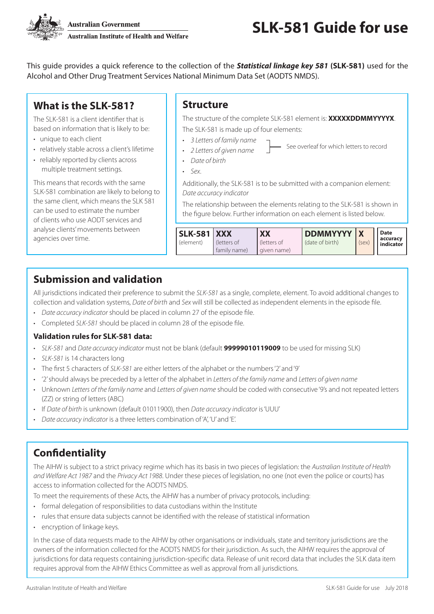

**Australian Government Australian Institute of Health and Welfare** 

This guide provides a quick reference to the collection of the *Statistical linkage key 581* **(SLK-581)** used for the Alcohol and Other Drug Treatment Services National Minimum Data Set (AODTS NMDS).

# **What is the SLK-581?**

The SLK-581 is a client identifier that is based on information that is likely to be:

- unique to each client
- relatively stable across a client's lifetime
- reliably reported by clients across multiple treatment settings.

This means that records with the same SLK-581 combination are likely to belong to the same client, which means the SLK 581 can be used to estimate the number of clients who use AODT services and analyse clients' movements between agencies over time.

#### **Structure**

The structure of the complete SLK-581 element is: **XXXXXDDMMYYYYX**. The SLK-581 is made up of four elements:

- *3 Letters of family name*
- *2 Letters of given name* See overleaf for which letters to record
- *Date of birth*
- *Sex*.

Additionally, the SLK-581 is to be submitted with a companion element: *Date accuracy indicator*

The relationship between the elements relating to the SLK-581 is shown in the figure below. Further information on each element is listed below.

| <b>SLK-581 XXX</b> |                            | <b>XX</b>                      | <b>DDMMYYYY</b> |       | Date                  |
|--------------------|----------------------------|--------------------------------|-----------------|-------|-----------------------|
| (element)          | letters of<br>family name) | . (letters of<br>l given name) | (date of birth) | (sex) | accuracy<br>indicator |

## **Submission and validation**

All jurisdictions indicated their preference to submit the *SLK-581* as a single, complete, element. To avoid additional changes to collection and validation systems, *Date of birth* and *Sex* will still be collected as independent elements in the episode file.

- *Date accuracy indicator* should be placed in column 27 of the episode file.
- Completed *SLK-581* should be placed in column 28 of the episode file.

#### **Validation rules for SLK-581 data:**

- *SLK-581* and *Date accuracy indicator* must not be blank (default **99999010119009** to be used for missing SLK)
- *SLK-581* is 14 characters long
- The first 5 characters of *SLK-581* are either letters of the alphabet or the numbers '2' and '9'
- '2' should always be preceded by a letter of the alphabet in *Letters of the family name* and *Letters of given name*
- Unknown *Letters of the family name* and *Letters of given name* should be coded with consecutive '9's and not repeated letters (ZZ) or string of letters (ABC)
- If *Date of birth* is unknown (default 01011900), then *Date accuracy indicator* is 'UUU'
- *Date accuracy indicator* is a three letters combination of 'A', 'U' and 'E'.

## **Confidentiality**

The AIHW is subject to a strict privacy regime which has its basis in two pieces of legislation: the *Australian Institute of Health and Welfare Act 1987* and the *Privacy Act 1988*. Under these pieces of legislation, no one (not even the police or courts) has access to information collected for the AODTS NMDS.

To meet the requirements of these Acts, the AIHW has a number of privacy protocols, including:

- formal delegation of responsibilities to data custodians within the Institute
- rules that ensure data subjects cannot be identified with the release of statistical information
- encryption of linkage keys.

In the case of data requests made to the AIHW by other organisations or individuals, state and territory jurisdictions are the owners of the information collected for the AODTS NMDS for their jurisdiction. As such, the AIHW requires the approval of jurisdictions for data requests containing jurisdiction-specific data. Release of unit record data that includes the SLK data item requires approval from the AIHW Ethics Committee as well as approval from all jurisdictions.